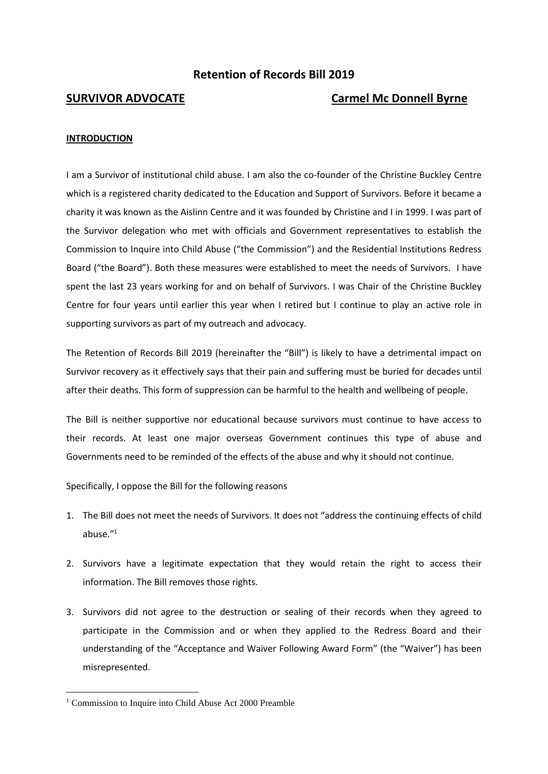# **Retention of Records Bill 2019**

# **SURVIVOR ADVOCATE Carmel Mc Donnell Byrne**

#### **INTRODUCTION**

I am a Survivor of institutional child abuse. I am also the co-founder of the Christine Buckley Centre which is a registered charity dedicated to the Education and Support of Survivors. Before it became a charity it was known as the Aislinn Centre and it was founded by Christine and I in 1999. I was part of the Survivor delegation who met with officials and Government representatives to establish the Commission to Inquire into Child Abuse ("the Commission") and the Residential Institutions Redress Board ("the Board"). Both these measures were established to meet the needs of Survivors. I have spent the last 23 years working for and on behalf of Survivors. I was Chair of the Christine Buckley Centre for four years until earlier this year when I retired but I continue to play an active role in supporting survivors as part of my outreach and advocacy.

The Retention of Records Bill 2019 (hereinafter the "Bill") is likely to have a detrimental impact on Survivor recovery as it effectively says that their pain and suffering must be buried for decades until after their deaths. This form of suppression can be harmful to the health and wellbeing of people.

The Bill is neither supportive nor educational because survivors must continue to have access to their records. At least one major overseas Government continues this type of abuse and Governments need to be reminded of the effects of the abuse and why it should not continue.

Specifically, I oppose the Bill for the following reasons

- 1. The Bill does not meet the needs of Survivors. It does not "address the continuing effects of child abuse." 1
- 2. Survivors have a legitimate expectation that they would retain the right to access their information. The Bill removes those rights.
- 3. Survivors did not agree to the destruction or sealing of their records when they agreed to participate in the Commission and or when they applied to the Redress Board and their understanding of the "Acceptance and Waiver Following Award Form" (the "Waiver") has been misrepresented.

<sup>&</sup>lt;sup>1</sup> Commission to Inquire into Child Abuse Act 2000 Preamble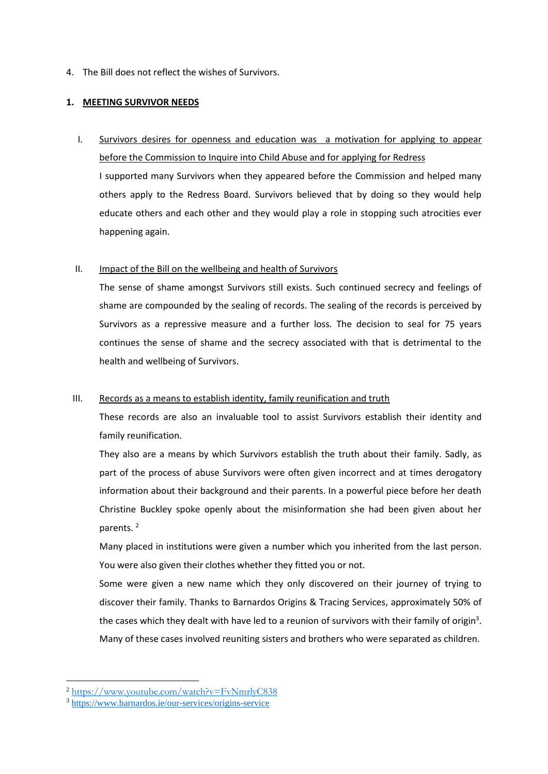4. The Bill does not reflect the wishes of Survivors.

# **1. MEETING SURVIVOR NEEDS**

I. Survivors desires for openness and education was a motivation for applying to appear before the Commission to Inquire into Child Abuse and for applying for Redress I supported many Survivors when they appeared before the Commission and helped many others apply to the Redress Board. Survivors believed that by doing so they would help educate others and each other and they would play a role in stopping such atrocities ever happening again.

# II. Impact of the Bill on the wellbeing and health of Survivors

The sense of shame amongst Survivors still exists. Such continued secrecy and feelings of shame are compounded by the sealing of records. The sealing of the records is perceived by Survivors as a repressive measure and a further loss. The decision to seal for 75 years continues the sense of shame and the secrecy associated with that is detrimental to the health and wellbeing of Survivors.

# III. Records as a means to establish identity, family reunification and truth

These records are also an invaluable tool to assist Survivors establish their identity and family reunification.

They also are a means by which Survivors establish the truth about their family. Sadly, as part of the process of abuse Survivors were often given incorrect and at times derogatory information about their background and their parents. In a powerful piece before her death Christine Buckley spoke openly about the misinformation she had been given about her parents.<sup>2</sup>

Many placed in institutions were given a number which you inherited from the last person. You were also given their clothes whether they fitted you or not.

Some were given a new name which they only discovered on their journey of trying to discover their family. Thanks to Barnardos Origins & Tracing Services, approximately 50% of the cases which they dealt with have led to a reunion of survivors with their family of origin<sup>3</sup>. Many of these cases involved reuniting sisters and brothers who were separated as children.

<sup>2</sup> <https://www.youtube.com/watch?v=FvNmrlyC838>

<sup>3</sup> <https://www.barnardos.ie/our-services/origins-service>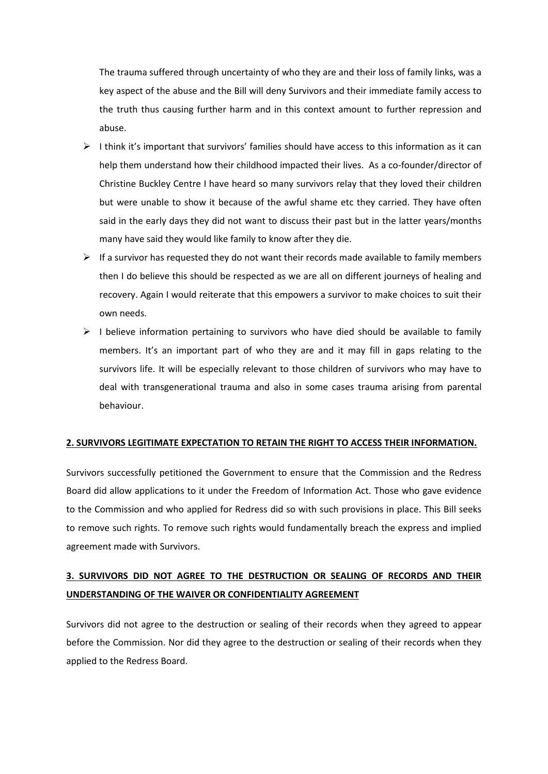The trauma suffered through uncertainty of who they are and their loss of family links, was a key aspect of the abuse and the Bill will deny Survivors and their immediate family access to the truth thus causing further harm and in this context amount to further repression and abuse.

- $\triangleright$  I think it's important that survivors' families should have access to this information as it can help them understand how their childhood impacted their lives. As a co-founder/director of Christine Buckley Centre I have heard so many survivors relay that they loved their children but were unable to show it because of the awful shame etc they carried. They have often said in the early days they did not want to discuss their past but in the latter years/months many have said they would like family to know after they die.
- $\triangleright$  If a survivor has requested they do not want their records made available to family members then I do believe this should be respected as we are all on different journeys of healing and recovery. Again I would reiterate that this empowers a survivor to make choices to suit their own needs.
- $\triangleright$  I believe information pertaining to survivors who have died should be available to family members. It's an important part of who they are and it may fill in gaps relating to the survivors life. It will be especially relevant to those children of survivors who may have to deal with transgenerational trauma and also in some cases trauma arising from parental behaviour.

### **2. SURVIVORS LEGITIMATE EXPECTATION TO RETAIN THE RIGHT TO ACCESS THEIR INFORMATION.**

Survivors successfully petitioned the Government to ensure that the Commission and the Redress Board did allow applications to it under the Freedom of Information Act. Those who gave evidence to the Commission and who applied for Redress did so with such provisions in place. This Bill seeks to remove such rights. To remove such rights would fundamentally breach the express and implied agreement made with Survivors.

# **3. SURVIVORS DID NOT AGREE TO THE DESTRUCTION OR SEALING OF RECORDS AND THEIR UNDERSTANDING OF THE WAIVER OR CONFIDENTIALITY AGREEMENT**

Survivors did not agree to the destruction or sealing of their records when they agreed to appear before the Commission. Nor did they agree to the destruction or sealing of their records when they applied to the Redress Board.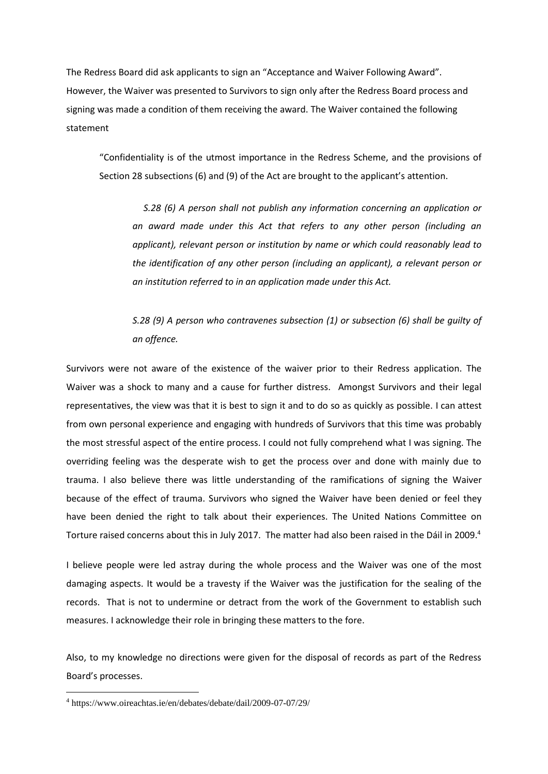The Redress Board did ask applicants to sign an "Acceptance and Waiver Following Award". However, the Waiver was presented to Survivors to sign only after the Redress Board process and signing was made a condition of them receiving the award. The Waiver contained the following statement

"Confidentiality is of the utmost importance in the Redress Scheme, and the provisions of Section 28 subsections (6) and (9) of the Act are brought to the applicant's attention.

*S.28 (6) A person shall not publish any information concerning an application or an award made under this Act that refers to any other person (including an applicant), relevant person or institution by name or which could reasonably lead to the identification of any other person (including an applicant), a relevant person or an institution referred to in an application made under this Act.*

*S.28 (9) A person who contravenes subsection (1) or subsection (6) shall be guilty of an offence.*

Survivors were not aware of the existence of the waiver prior to their Redress application. The Waiver was a shock to many and a cause for further distress. Amongst Survivors and their legal representatives, the view was that it is best to sign it and to do so as quickly as possible. I can attest from own personal experience and engaging with hundreds of Survivors that this time was probably the most stressful aspect of the entire process. I could not fully comprehend what I was signing. The overriding feeling was the desperate wish to get the process over and done with mainly due to trauma. I also believe there was little understanding of the ramifications of signing the Waiver because of the effect of trauma. Survivors who signed the Waiver have been denied or feel they have been denied the right to talk about their experiences. The United Nations Committee on Torture raised concerns about this in July 2017. The matter had also been raised in the Dáil in 2009.<sup>4</sup>

I believe people were led astray during the whole process and the Waiver was one of the most damaging aspects. It would be a travesty if the Waiver was the justification for the sealing of the records. That is not to undermine or detract from the work of the Government to establish such measures. I acknowledge their role in bringing these matters to the fore.

Also, to my knowledge no directions were given for the disposal of records as part of the Redress Board's processes.

<sup>4</sup> https://www.oireachtas.ie/en/debates/debate/dail/2009-07-07/29/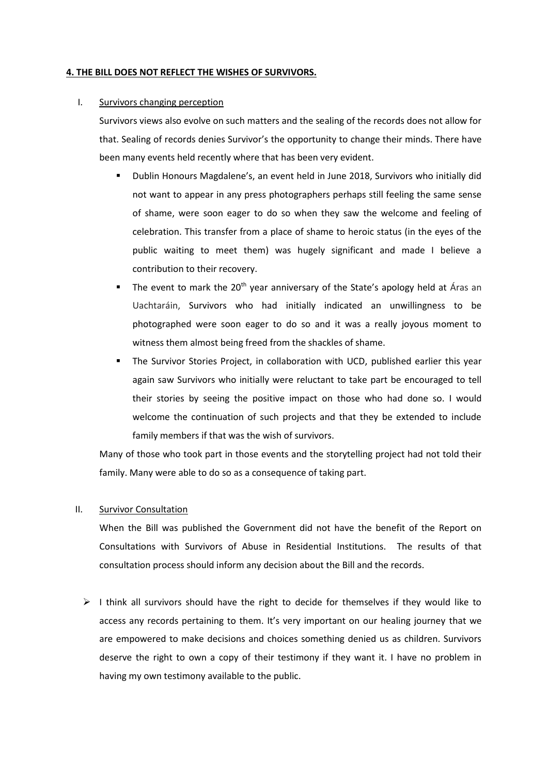#### **4. THE BILL DOES NOT REFLECT THE WISHES OF SURVIVORS.**

## I. Survivors changing perception

Survivors views also evolve on such matters and the sealing of the records does not allow for that. Sealing of records denies Survivor's the opportunity to change their minds. There have been many events held recently where that has been very evident.

- Dublin Honours Magdalene's, an event held in June 2018, Survivors who initially did not want to appear in any press photographers perhaps still feeling the same sense of shame, were soon eager to do so when they saw the welcome and feeling of celebration. This transfer from a place of shame to heroic status (in the eyes of the public waiting to meet them) was hugely significant and made I believe a contribution to their recovery.
- The event to mark the  $20<sup>th</sup>$  year anniversary of the State's apology held at Áras an Uachtaráin, Survivors who had initially indicated an unwillingness to be photographed were soon eager to do so and it was a really joyous moment to witness them almost being freed from the shackles of shame.
- The Survivor Stories Project, in collaboration with UCD, published earlier this year again saw Survivors who initially were reluctant to take part be encouraged to tell their stories by seeing the positive impact on those who had done so. I would welcome the continuation of such projects and that they be extended to include family members if that was the wish of survivors.

Many of those who took part in those events and the storytelling project had not told their family. Many were able to do so as a consequence of taking part.

#### II. Survivor Consultation

When the Bill was published the Government did not have the benefit of the Report on Consultations with Survivors of Abuse in Residential Institutions. The results of that consultation process should inform any decision about the Bill and the records.

 $\triangleright$  I think all survivors should have the right to decide for themselves if they would like to access any records pertaining to them. It's very important on our healing journey that we are empowered to make decisions and choices something denied us as children. Survivors deserve the right to own a copy of their testimony if they want it. I have no problem in having my own testimony available to the public.